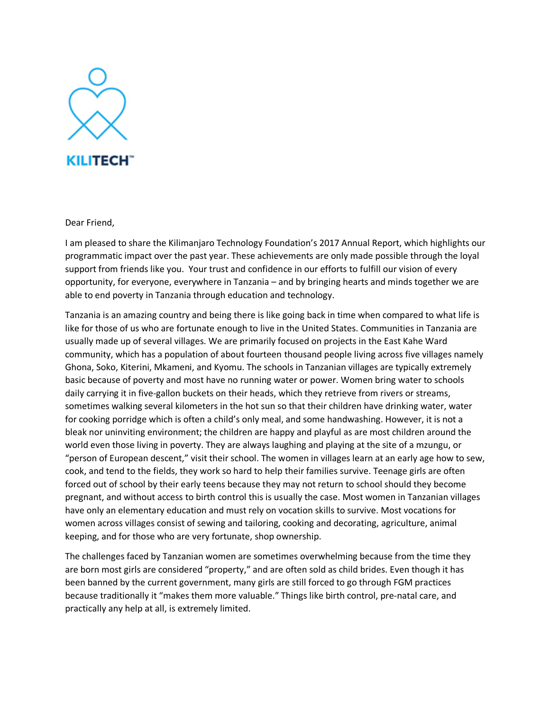

Dear Friend,

I am pleased to share the Kilimanjaro Technology Foundation's 2017 Annual Report, which highlights our programmatic impact over the past year. These achievements are only made possible through the loyal support from friends like you. Your trust and confidence in our efforts to fulfill our vision of every opportunity, for everyone, everywhere in Tanzania – and by bringing hearts and minds together we are able to end poverty in Tanzania through education and technology.

Tanzania is an amazing country and being there is like going back in time when compared to what life is like for those of us who are fortunate enough to live in the United States. Communities in Tanzania are usually made up of several villages. We are primarily focused on projects in the East Kahe Ward community, which has a population of about fourteen thousand people living across five villages namely Ghona, Soko, Kiterini, Mkameni, and Kyomu. The schools in Tanzanian villages are typically extremely basic because of poverty and most have no running water or power. Women bring water to schools daily carrying it in five-gallon buckets on their heads, which they retrieve from rivers or streams, sometimes walking several kilometers in the hot sun so that their children have drinking water, water for cooking porridge which is often a child's only meal, and some handwashing. However, it is not a bleak nor uninviting environment; the children are happy and playful as are most children around the world even those living in poverty. They are always laughing and playing at the site of a mzungu, or "person of European descent," visit their school. The women in villages learn at an early age how to sew, cook, and tend to the fields, they work so hard to help their families survive. Teenage girls are often forced out of school by their early teens because they may not return to school should they become pregnant, and without access to birth control this is usually the case. Most women in Tanzanian villages have only an elementary education and must rely on vocation skills to survive. Most vocations for women across villages consist of sewing and tailoring, cooking and decorating, agriculture, animal keeping, and for those who are very fortunate, shop ownership.

The challenges faced by Tanzanian women are sometimes overwhelming because from the time they are born most girls are considered "property," and are often sold as child brides. Even though it has been banned by the current government, many girls are still forced to go through FGM practices because traditionally it "makes them more valuable." Things like birth control, pre-natal care, and practically any help at all, is extremely limited.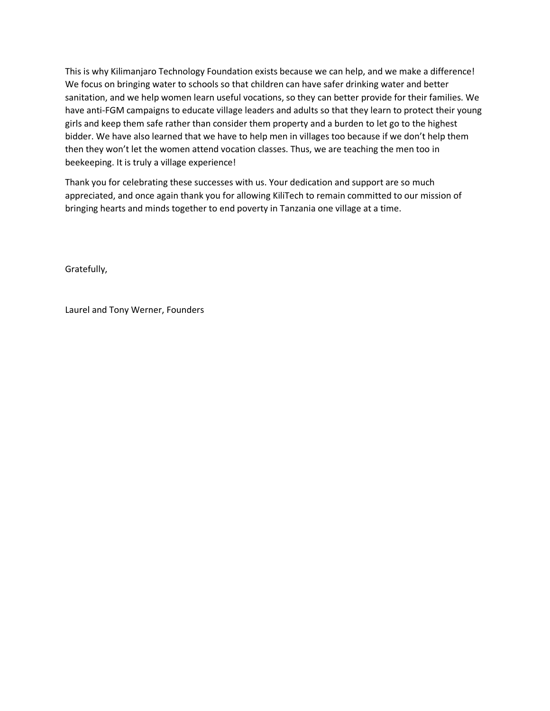This is why Kilimanjaro Technology Foundation exists because we can help, and we make a difference! We focus on bringing water to schools so that children can have safer drinking water and better sanitation, and we help women learn useful vocations, so they can better provide for their families. We have anti-FGM campaigns to educate village leaders and adults so that they learn to protect their young girls and keep them safe rather than consider them property and a burden to let go to the highest bidder. We have also learned that we have to help men in villages too because if we don't help them then they won't let the women attend vocation classes. Thus, we are teaching the men too in beekeeping. It is truly a village experience!

Thank you for celebrating these successes with us. Your dedication and support are so much appreciated, and once again thank you for allowing KiliTech to remain committed to our mission of bringing hearts and minds together to end poverty in Tanzania one village at a time.

Gratefully,

Laurel and Tony Werner, Founders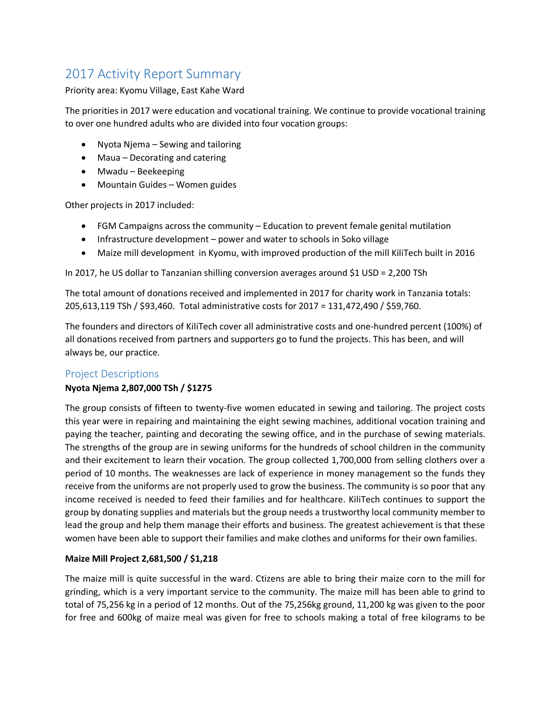# 2017 Activity Report Summary

### Priority area: Kyomu Village, East Kahe Ward

The priorities in 2017 were education and vocational training. We continue to provide vocational training to over one hundred adults who are divided into four vocation groups:

- Nyota Njema Sewing and tailoring
- Maua Decorating and catering
- Mwadu Beekeeping
- Mountain Guides Women guides

Other projects in 2017 included:

- FGM Campaigns across the community Education to prevent female genital mutilation
- Infrastructure development power and water to schools in Soko village
- Maize mill development in Kyomu, with improved production of the mill KiliTech built in 2016

In 2017, he US dollar to Tanzanian shilling conversion averages around \$1 USD = 2,200 TSh

The total amount of donations received and implemented in 2017 for charity work in Tanzania totals: 205,613,119 TSh / \$93,460. Total administrative costs for 2017 = 131,472,490 / \$59,760.

The founders and directors of KiliTech cover all administrative costs and one-hundred percent (100%) of all donations received from partners and supporters go to fund the projects. This has been, and will always be, our practice.

# Project Descriptions

#### **Nyota Njema 2,807,000 TSh / \$1275**

The group consists of fifteen to twenty-five women educated in sewing and tailoring. The project costs this year were in repairing and maintaining the eight sewing machines, additional vocation training and paying the teacher, painting and decorating the sewing office, and in the purchase of sewing materials. The strengths of the group are in sewing uniforms for the hundreds of school children in the community and their excitement to learn their vocation. The group collected 1,700,000 from selling clothers over a period of 10 months. The weaknesses are lack of experience in money management so the funds they receive from the uniforms are not properly used to grow the business. The community is so poor that any income received is needed to feed their families and for healthcare. KiliTech continues to support the group by donating supplies and materials but the group needs a trustworthy local community member to lead the group and help them manage their efforts and business. The greatest achievement is that these women have been able to support their families and make clothes and uniforms for their own families.

#### **Maize Mill Project 2,681,500 / \$1,218**

The maize mill is quite successful in the ward. Ctizens are able to bring their maize corn to the mill for grinding, which is a very important service to the community. The maize mill has been able to grind to total of 75,256 kg in a period of 12 months. Out of the 75,256kg ground, 11,200 kg was given to the poor for free and 600kg of maize meal was given for free to schools making a total of free kilograms to be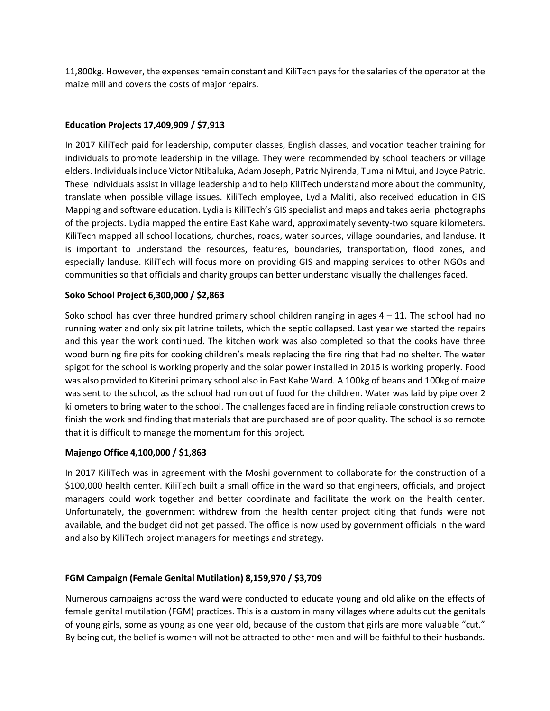11,800kg. However, the expenses remain constant and KiliTech pays for the salaries of the operator at the maize mill and covers the costs of major repairs.

## **Education Projects 17,409,909 / \$7,913**

In 2017 KiliTech paid for leadership, computer classes, English classes, and vocation teacher training for individuals to promote leadership in the village. They were recommended by school teachers or village elders. Individuals incluce Victor Ntibaluka, Adam Joseph, Patric Nyirenda, Tumaini Mtui, and Joyce Patric. These individuals assist in village leadership and to help KiliTech understand more about the community, translate when possible village issues. KiliTech employee, Lydia Maliti, also received education in GIS Mapping and software education. Lydia is KiliTech's GIS specialist and maps and takes aerial photographs of the projects. Lydia mapped the entire East Kahe ward, approximately seventy-two square kilometers. KiliTech mapped all school locations, churches, roads, water sources, village boundaries, and landuse. It is important to understand the resources, features, boundaries, transportation, flood zones, and especially landuse. KiliTech will focus more on providing GIS and mapping services to other NGOs and communities so that officials and charity groups can better understand visually the challenges faced.

#### **Soko School Project 6,300,000 / \$2,863**

Soko school has over three hundred primary school children ranging in ages  $4 - 11$ . The school had no running water and only six pit latrine toilets, which the septic collapsed. Last year we started the repairs and this year the work continued. The kitchen work was also completed so that the cooks have three wood burning fire pits for cooking children's meals replacing the fire ring that had no shelter. The water spigot for the school is working properly and the solar power installed in 2016 is working properly. Food was also provided to Kiterini primary school also in East Kahe Ward. A 100kg of beans and 100kg of maize was sent to the school, as the school had run out of food for the children. Water was laid by pipe over 2 kilometers to bring water to the school. The challenges faced are in finding reliable construction crews to finish the work and finding that materials that are purchased are of poor quality. The school is so remote that it is difficult to manage the momentum for this project.

#### **Majengo Office 4,100,000 / \$1,863**

In 2017 KiliTech was in agreement with the Moshi government to collaborate for the construction of a \$100,000 health center. KiliTech built a small office in the ward so that engineers, officials, and project managers could work together and better coordinate and facilitate the work on the health center. Unfortunately, the government withdrew from the health center project citing that funds were not available, and the budget did not get passed. The office is now used by government officials in the ward and also by KiliTech project managers for meetings and strategy.

#### **FGM Campaign (Female Genital Mutilation) 8,159,970 / \$3,709**

Numerous campaigns across the ward were conducted to educate young and old alike on the effects of female genital mutilation (FGM) practices. This is a custom in many villages where adults cut the genitals of young girls, some as young as one year old, because of the custom that girls are more valuable "cut." By being cut, the belief is women will not be attracted to other men and will be faithful to their husbands.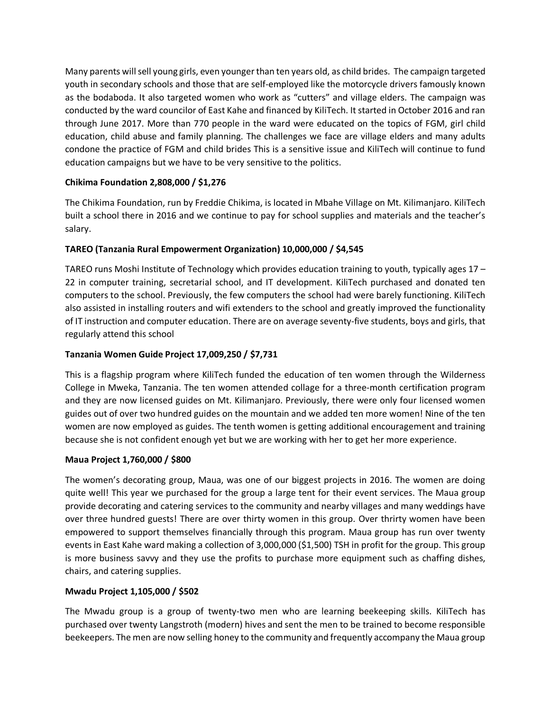Many parents will sell young girls, even younger than ten years old, as child brides. The campaign targeted youth in secondary schools and those that are self-employed like the motorcycle drivers famously known as the bodaboda. It also targeted women who work as "cutters" and village elders. The campaign was conducted by the ward councilor of East Kahe and financed by KiliTech. It started in October 2016 and ran through June 2017. More than 770 people in the ward were educated on the topics of FGM, girl child education, child abuse and family planning. The challenges we face are village elders and many adults condone the practice of FGM and child brides This is a sensitive issue and KiliTech will continue to fund education campaigns but we have to be very sensitive to the politics.

## **Chikima Foundation 2,808,000 / \$1,276**

The Chikima Foundation, run by Freddie Chikima, is located in Mbahe Village on Mt. Kilimanjaro. KiliTech built a school there in 2016 and we continue to pay for school supplies and materials and the teacher's salary.

# **TAREO (Tanzania Rural Empowerment Organization) 10,000,000 / \$4,545**

TAREO runs Moshi Institute of Technology which provides education training to youth, typically ages 17 – 22 in computer training, secretarial school, and IT development. KiliTech purchased and donated ten computers to the school. Previously, the few computers the school had were barely functioning. KiliTech also assisted in installing routers and wifi extenders to the school and greatly improved the functionality of IT instruction and computer education. There are on average seventy-five students, boys and girls, that regularly attend this school

## **Tanzania Women Guide Project 17,009,250 / \$7,731**

This is a flagship program where KiliTech funded the education of ten women through the Wilderness College in Mweka, Tanzania. The ten women attended collage for a three-month certification program and they are now licensed guides on Mt. Kilimanjaro. Previously, there were only four licensed women guides out of over two hundred guides on the mountain and we added ten more women! Nine of the ten women are now employed as guides. The tenth women is getting additional encouragement and training because she is not confident enough yet but we are working with her to get her more experience.

#### **Maua Project 1,760,000 / \$800**

The women's decorating group, Maua, was one of our biggest projects in 2016. The women are doing quite well! This year we purchased for the group a large tent for their event services. The Maua group provide decorating and catering services to the community and nearby villages and many weddings have over three hundred guests! There are over thirty women in this group. Over thrirty women have been empowered to support themselves financially through this program. Maua group has run over twenty events in East Kahe ward making a collection of 3,000,000 (\$1,500) TSH in profit for the group. This group is more business savvy and they use the profits to purchase more equipment such as chaffing dishes, chairs, and catering supplies.

#### **Mwadu Project 1,105,000 / \$502**

The Mwadu group is a group of twenty-two men who are learning beekeeping skills. KiliTech has purchased over twenty Langstroth (modern) hives and sent the men to be trained to become responsible beekeepers. The men are now selling honey to the community and frequently accompany the Maua group